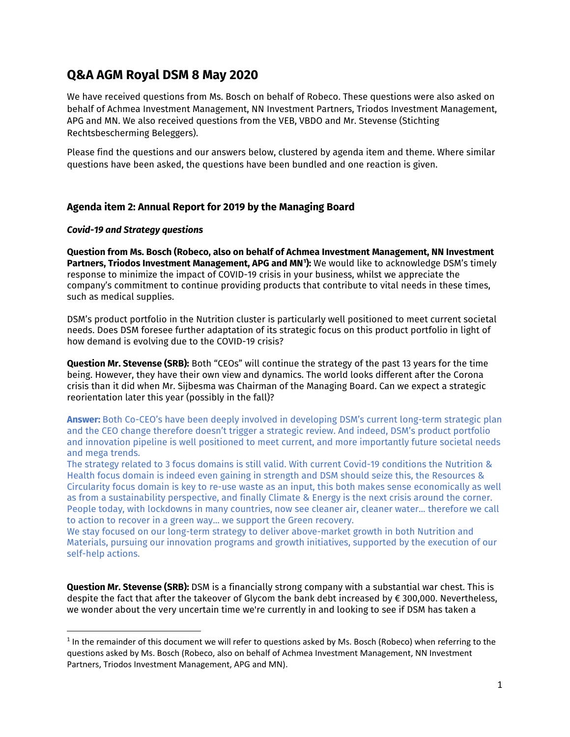# **Q&A AGM Royal DSM 8 May 2020**

We have received questions from Ms. Bosch on behalf of Robeco. These questions were also asked on behalf of Achmea Investment Management, NN Investment Partners, Triodos Investment Management, APG and MN. We also received questions from the VEB, VBDO and Mr. Stevense (Stichting Rechtsbescherming Beleggers).

Please find the questions and our answers below, clustered by agenda item and theme. Where similar questions have been asked, the questions have been bundled and one reaction is given.

# **Agenda item 2: Annual Report for 2019 by the Managing Board**

## *Covid-19 and Strategy questions*

**Question from Ms. Bosch (Robeco, also on behalf of Achmea Investment Management, NN Investment Partners, Triodos Investment Management, APG and MN[1](#page-0-0) ):** We would like to acknowledge DSM's timely response to minimize the impact of COVID-19 crisis in your business, whilst we appreciate the company's commitment to continue providing products that contribute to vital needs in these times, such as medical supplies.

DSM's product portfolio in the Nutrition cluster is particularly well positioned to meet current societal needs. Does DSM foresee further adaptation of its strategic focus on this product portfolio in light of how demand is evolving due to the COVID-19 crisis?

**Question Mr. Stevense (SRB):** Both "CEOs" will continue the strategy of the past 13 years for the time being. However, they have their own view and dynamics. The world looks different after the Corona crisis than it did when Mr. Sijbesma was Chairman of the Managing Board. Can we expect a strategic reorientation later this year (possibly in the fall)?

**Answer:** Both Co-CEO's have been deeply involved in developing DSM's current long-term strategic plan and the CEO change therefore doesn't trigger a strategic review. And indeed, DSM's product portfolio and innovation pipeline is well positioned to meet current, and more importantly future societal needs and mega trends.

The strategy related to 3 focus domains is still valid. With current Covid-19 conditions the Nutrition & Health focus domain is indeed even gaining in strength and DSM should seize this, the Resources & Circularity focus domain is key to re-use waste as an input, this both makes sense economically as well as from a sustainability perspective, and finally Climate & Energy is the next crisis around the corner. People today, with lockdowns in many countries, now see cleaner air, cleaner water... therefore we call to action to recover in a green way... we support the Green recovery.

We stay focused on our long-term strategy to deliver above-market growth in both Nutrition and Materials, pursuing our innovation programs and growth initiatives, supported by the execution of our self-help actions.

**Question Mr. Stevense (SRB):** DSM is a financially strong company with a substantial war chest. This is despite the fact that after the takeover of Glycom the bank debt increased by € 300,000. Nevertheless, we wonder about the very uncertain time we're currently in and looking to see if DSM has taken a

<span id="page-0-0"></span> $1$  In the remainder of this document we will refer to questions asked by Ms. Bosch (Robeco) when referring to the questions asked by Ms. Bosch (Robeco, also on behalf of Achmea Investment Management, NN Investment Partners, Triodos Investment Management, APG and MN).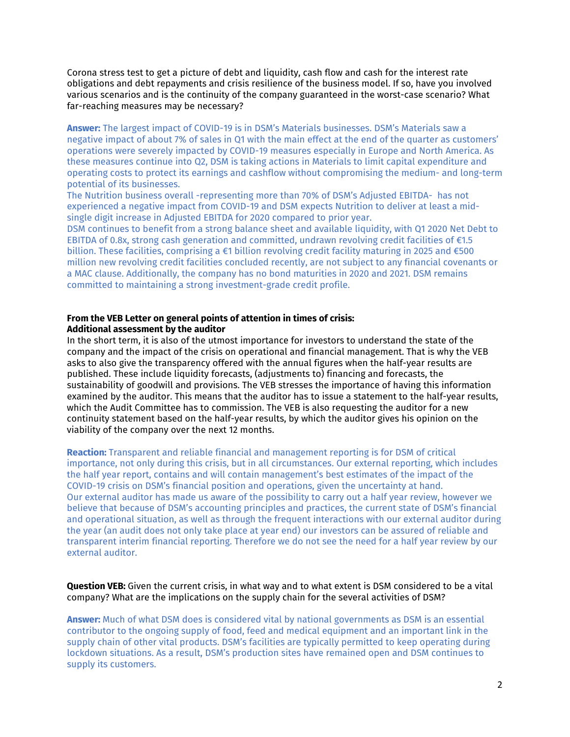Corona stress test to get a picture of debt and liquidity, cash flow and cash for the interest rate obligations and debt repayments and crisis resilience of the business model. If so, have you involved various scenarios and is the continuity of the company guaranteed in the worst-case scenario? What far-reaching measures may be necessary?

**Answer:** The largest impact of COVID-19 is in DSM's Materials businesses. DSM's Materials saw a negative impact of about 7% of sales in Q1 with the main effect at the end of the quarter as customers' operations were severely impacted by COVID-19 measures especially in Europe and North America. As these measures continue into Q2, DSM is taking actions in Materials to limit capital expenditure and operating costs to protect its earnings and cashflow without compromising the medium- and long-term potential of its businesses.

The Nutrition business overall -representing more than 70% of DSM's Adjusted EBITDA- has not experienced a negative impact from COVID-19 and DSM expects Nutrition to deliver at least a midsingle digit increase in Adjusted EBITDA for 2020 compared to prior year.

DSM continues to benefit from a strong balance sheet and available liquidity, with Q1 2020 Net Debt to EBITDA of 0.8x, strong cash generation and committed, undrawn revolving credit facilities of €1.5 billion. These facilities, comprising a €1 billion revolving credit facility maturing in 2025 and €500 million new revolving credit facilities concluded recently, are not subject to any financial covenants or a MAC clause. Additionally, the company has no bond maturities in 2020 and 2021. DSM remains committed to maintaining a strong investment-grade credit profile.

#### **From the VEB Letter on general points of attention in times of crisis: Additional assessment by the auditor**

In the short term, it is also of the utmost importance for investors to understand the state of the company and the impact of the crisis on operational and financial management. That is why the VEB asks to also give the transparency offered with the annual figures when the half-year results are published. These include liquidity forecasts, (adjustments to) financing and forecasts, the sustainability of goodwill and provisions. The VEB stresses the importance of having this information examined by the auditor. This means that the auditor has to issue a statement to the half-year results, which the Audit Committee has to commission. The VEB is also requesting the auditor for a new continuity statement based on the half-year results, by which the auditor gives his opinion on the viability of the company over the next 12 months.

**Reaction:** Transparent and reliable financial and management reporting is for DSM of critical importance, not only during this crisis, but in all circumstances. Our external reporting, which includes the half year report, contains and will contain management's best estimates of the impact of the COVID-19 crisis on DSM's financial position and operations, given the uncertainty at hand. Our external auditor has made us aware of the possibility to carry out a half year review, however we believe that because of DSM's accounting principles and practices, the current state of DSM's financial and operational situation, as well as through the frequent interactions with our external auditor during the year (an audit does not only take place at year end) our investors can be assured of reliable and transparent interim financial reporting. Therefore we do not see the need for a half year review by our external auditor.

## **Question VEB:** Given the current crisis, in what way and to what extent is DSM considered to be a vital company? What are the implications on the supply chain for the several activities of DSM?

**Answer:** Much of what DSM does is considered vital by national governments as DSM is an essential contributor to the ongoing supply of food, feed and medical equipment and an important link in the supply chain of other vital products. DSM's facilities are typically permitted to keep operating during lockdown situations. As a result, DSM's production sites have remained open and DSM continues to supply its customers.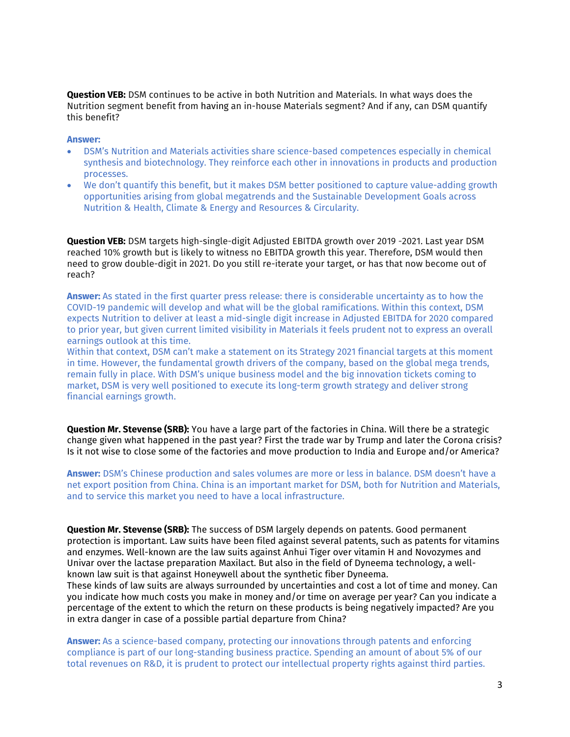**Question VEB:** DSM continues to be active in both Nutrition and Materials. In what ways does the Nutrition segment benefit from having an in-house Materials segment? And if any, can DSM quantify this benefit?

#### **Answer:**

- DSM's Nutrition and Materials activities share science-based competences especially in chemical synthesis and biotechnology. They reinforce each other in innovations in products and production processes.
- We don't quantify this benefit, but it makes DSM better positioned to capture value-adding growth opportunities arising from global megatrends and the Sustainable Development Goals across Nutrition & Health, Climate & Energy and Resources & Circularity.

**Question VEB:** DSM targets high-single-digit Adjusted EBITDA growth over 2019 -2021. Last year DSM reached 10% growth but is likely to witness no EBITDA growth this year. Therefore, DSM would then need to grow double-digit in 2021. Do you still re-iterate your target, or has that now become out of reach?

**Answer:** As stated in the first quarter press release: there is considerable uncertainty as to how the COVID-19 pandemic will develop and what will be the global ramifications. Within this context, DSM expects Nutrition to deliver at least a mid-single digit increase in Adjusted EBITDA for 2020 compared to prior year, but given current limited visibility in Materials it feels prudent not to express an overall earnings outlook at this time.

Within that context, DSM can't make a statement on its Strategy 2021 financial targets at this moment in time. However, the fundamental growth drivers of the company, based on the global mega trends, remain fully in place. With DSM's unique business model and the big innovation tickets coming to market, DSM is very well positioned to execute its long-term growth strategy and deliver strong financial earnings growth.

**Question Mr. Stevense (SRB):** You have a large part of the factories in China. Will there be a strategic change given what happened in the past year? First the trade war by Trump and later the Corona crisis? Is it not wise to close some of the factories and move production to India and Europe and/or America?

**Answer:** DSM's Chinese production and sales volumes are more or less in balance. DSM doesn't have a net export position from China. China is an important market for DSM, both for Nutrition and Materials, and to service this market you need to have a local infrastructure.

**Question Mr. Stevense (SRB):** The success of DSM largely depends on patents. Good permanent protection is important. Law suits have been filed against several patents, such as patents for vitamins and enzymes. Well-known are the law suits against Anhui Tiger over vitamin H and Novozymes and Univar over the lactase preparation Maxilact. But also in the field of Dyneema technology, a wellknown law suit is that against Honeywell about the synthetic fiber Dyneema.

These kinds of law suits are always surrounded by uncertainties and cost a lot of time and money. Can you indicate how much costs you make in money and/or time on average per year? Can you indicate a percentage of the extent to which the return on these products is being negatively impacted? Are you in extra danger in case of a possible partial departure from China?

**Answer:** As a science-based company, protecting our innovations through patents and enforcing compliance is part of our long-standing business practice. Spending an amount of about 5% of our total revenues on R&D, it is prudent to protect our intellectual property rights against third parties.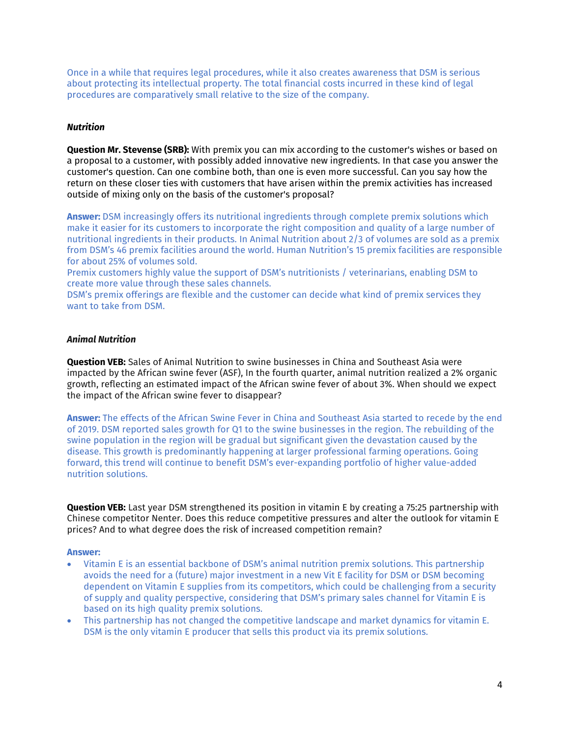Once in a while that requires legal procedures, while it also creates awareness that DSM is serious about protecting its intellectual property. The total financial costs incurred in these kind of legal procedures are comparatively small relative to the size of the company.

#### *Nutrition*

**Question Mr. Stevense (SRB):** With premix you can mix according to the customer's wishes or based on a proposal to a customer, with possibly added innovative new ingredients. In that case you answer the customer's question. Can one combine both, than one is even more successful. Can you say how the return on these closer ties with customers that have arisen within the premix activities has increased outside of mixing only on the basis of the customer's proposal?

**Answer:** DSM increasingly offers its nutritional ingredients through complete premix solutions which make it easier for its customers to incorporate the right composition and quality of a large number of nutritional ingredients in their products. In Animal Nutrition about 2/3 of volumes are sold as a premix from DSM's 46 premix facilities around the world. Human Nutrition's 15 premix facilities are responsible for about 25% of volumes sold.

Premix customers highly value the support of DSM's nutritionists / veterinarians, enabling DSM to create more value through these sales channels.

DSM's premix offerings are flexible and the customer can decide what kind of premix services they want to take from DSM.

#### *Animal Nutrition*

**Question VEB:** Sales of Animal Nutrition to swine businesses in China and Southeast Asia were impacted by the African swine fever (ASF), In the fourth quarter, animal nutrition realized a 2% organic growth, reflecting an estimated impact of the African swine fever of about 3%. When should we expect the impact of the African swine fever to disappear?

**Answer:** The effects of the African Swine Fever in China and Southeast Asia started to recede by the end of 2019. DSM reported sales growth for Q1 to the swine businesses in the region. The rebuilding of the swine population in the region will be gradual but significant given the devastation caused by the disease. This growth is predominantly happening at larger professional farming operations. Going forward, this trend will continue to benefit DSM's ever-expanding portfolio of higher value-added nutrition solutions.

**Question VEB:** Last year DSM strengthened its position in vitamin E by creating a 75:25 partnership with Chinese competitor Nenter. Does this reduce competitive pressures and alter the outlook for vitamin E prices? And to what degree does the risk of increased competition remain?

#### **Answer:**

- Vitamin E is an essential backbone of DSM's animal nutrition premix solutions. This partnership avoids the need for a (future) major investment in a new Vit E facility for DSM or DSM becoming dependent on Vitamin E supplies from its competitors, which could be challenging from a security of supply and quality perspective, considering that DSM's primary sales channel for Vitamin E is based on its high quality premix solutions.
- This partnership has not changed the competitive landscape and market dynamics for vitamin E. DSM is the only vitamin E producer that sells this product via its premix solutions.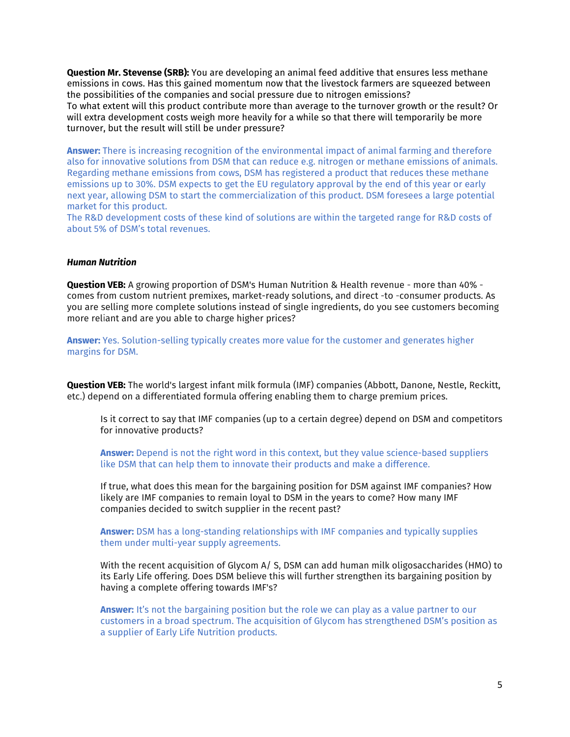**Question Mr. Stevense (SRB):** You are developing an animal feed additive that ensures less methane emissions in cows. Has this gained momentum now that the livestock farmers are squeezed between the possibilities of the companies and social pressure due to nitrogen emissions? To what extent will this product contribute more than average to the turnover growth or the result? Or will extra development costs weigh more heavily for a while so that there will temporarily be more turnover, but the result will still be under pressure?

**Answer:** There is increasing recognition of the environmental impact of animal farming and therefore also for innovative solutions from DSM that can reduce e.g. nitrogen or methane emissions of animals. Regarding methane emissions from cows, DSM has registered a product that reduces these methane emissions up to 30%. DSM expects to get the EU regulatory approval by the end of this year or early next year, allowing DSM to start the commercialization of this product. DSM foresees a large potential market for this product.

The R&D development costs of these kind of solutions are within the targeted range for R&D costs of about 5% of DSM's total revenues.

#### *Human Nutrition*

**Question VEB:** A growing proportion of DSM's Human Nutrition & Health revenue - more than 40% comes from custom nutrient premixes, market-ready solutions, and direct -to -consumer products. As you are selling more complete solutions instead of single ingredients, do you see customers becoming more reliant and are you able to charge higher prices?

**Answer:** Yes. Solution-selling typically creates more value for the customer and generates higher margins for DSM.

**Question VEB:** The world's largest infant milk formula (IMF) companies (Abbott, Danone, Nestle, Reckitt, etc.) depend on a differentiated formula offering enabling them to charge premium prices.

Is it correct to say that IMF companies (up to a certain degree) depend on DSM and competitors for innovative products?

**Answer:** Depend is not the right word in this context, but they value science-based suppliers like DSM that can help them to innovate their products and make a difference.

If true, what does this mean for the bargaining position for DSM against IMF companies? How likely are IMF companies to remain loyal to DSM in the years to come? How many IMF companies decided to switch supplier in the recent past?

**Answer:** DSM has a long-standing relationships with IMF companies and typically supplies them under multi-year supply agreements.

With the recent acquisition of Glycom A/ S, DSM can add human milk oligosaccharides (HMO) to its Early Life offering. Does DSM believe this will further strengthen its bargaining position by having a complete offering towards IMF's?

**Answer:** It's not the bargaining position but the role we can play as a value partner to our customers in a broad spectrum. The acquisition of Glycom has strengthened DSM's position as a supplier of Early Life Nutrition products.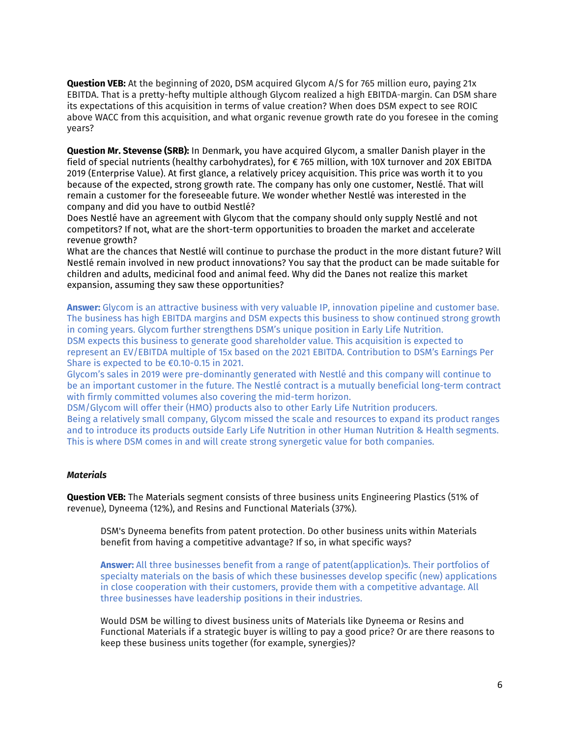**Question VEB:** At the beginning of 2020, DSM acquired Glycom A/S for 765 million euro, paying 21x EBITDA. That is a pretty-hefty multiple although Glycom realized a high EBITDA-margin. Can DSM share its expectations of this acquisition in terms of value creation? When does DSM expect to see ROIC above WACC from this acquisition, and what organic revenue growth rate do you foresee in the coming years?

**Question Mr. Stevense (SRB):** In Denmark, you have acquired Glycom, a smaller Danish player in the field of special nutrients (healthy carbohydrates), for € 765 million, with 10X turnover and 20X EBITDA 2019 (Enterprise Value). At first glance, a relatively pricey acquisition. This price was worth it to you because of the expected, strong growth rate. The company has only one customer, Nestlé. That will remain a customer for the foreseeable future. We wonder whether Nestlé was interested in the company and did you have to outbid Nestlé?

Does Nestlé have an agreement with Glycom that the company should only supply Nestlé and not competitors? If not, what are the short-term opportunities to broaden the market and accelerate revenue growth?

What are the chances that Nestlé will continue to purchase the product in the more distant future? Will Nestlé remain involved in new product innovations? You say that the product can be made suitable for children and adults, medicinal food and animal feed. Why did the Danes not realize this market expansion, assuming they saw these opportunities?

**Answer:** Glycom is an attractive business with very valuable IP, innovation pipeline and customer base. The business has high EBITDA margins and DSM expects this business to show continued strong growth in coming years. Glycom further strengthens DSM's unique position in Early Life Nutrition. DSM expects this business to generate good shareholder value. This acquisition is expected to represent an EV/EBITDA multiple of 15x based on the 2021 EBITDA. Contribution to DSM's Earnings Per Share is expected to be €0.10-0.15 in 2021.

Glycom's sales in 2019 were pre-dominantly generated with Nestlé and this company will continue to be an important customer in the future. The Nestlé contract is a mutually beneficial long-term contract with firmly committed volumes also covering the mid-term horizon.

DSM/Glycom will offer their (HMO) products also to other Early Life Nutrition producers.

Being a relatively small company, Glycom missed the scale and resources to expand its product ranges and to introduce its products outside Early Life Nutrition in other Human Nutrition & Health segments. This is where DSM comes in and will create strong synergetic value for both companies.

## *Materials*

**Question VEB:** The Materials segment consists of three business units Engineering Plastics (51% of revenue), Dyneema (12%), and Resins and Functional Materials (37%).

DSM's Dyneema benefits from patent protection. Do other business units within Materials benefit from having a competitive advantage? If so, in what specific ways?

**Answer:** All three businesses benefit from a range of patent(application)s. Their portfolios of specialty materials on the basis of which these businesses develop specific (new) applications in close cooperation with their customers, provide them with a competitive advantage. All three businesses have leadership positions in their industries.

Would DSM be willing to divest business units of Materials like Dyneema or Resins and Functional Materials if a strategic buyer is willing to pay a good price? Or are there reasons to keep these business units together (for example, synergies)?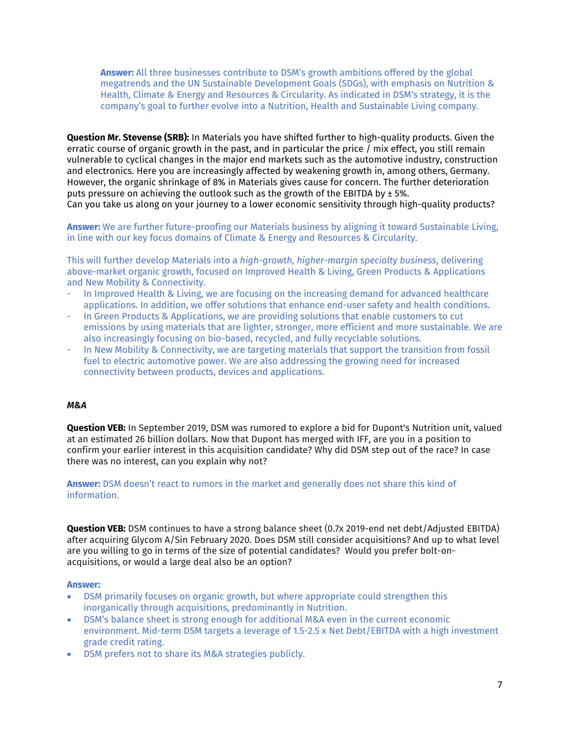**Answer:** All three businesses contribute to DSM's growth ambitions offered by the global megatrends and the UN Sustainable Development Goals (SDGs), with emphasis on Nutrition & Health, Climate & Energy and Resources & Circularity. As indicated in DSM's strategy, it is the company's goal to further evolve into a Nutrition, Health and Sustainable Living company.

**Question Mr. Stevense (SRB):** In Materials you have shifted further to high-quality products. Given the erratic course of organic growth in the past, and in particular the price / mix effect, you still remain vulnerable to cyclical changes in the major end markets such as the automotive industry, construction and electronics. Here you are increasingly affected by weakening growth in, among others, Germany. However, the organic shrinkage of 8% in Materials gives cause for concern. The further deterioration puts pressure on achieving the outlook such as the growth of the EBITDA by  $\pm$  5%. Can you take us along on your journey to a lower economic sensitivity through high-quality products?

**Answer:** We are further future-proofing our Materials business by aligning it toward Sustainable Living, in line with our key focus domains of Climate & Energy and Resources & Circularity.

This will further develop Materials into a *high-growth, higher-margin specialty business*, delivering above-market organic growth, focused on Improved Health & Living, Green Products & Applications and New Mobility & Connectivity.

- In Improved Health & Living, we are focusing on the increasing demand for advanced healthcare applications. In addition, we offer solutions that enhance end-user safety and health conditions.
- In Green Products & Applications, we are providing solutions that enable customers to cut emissions by using materials that are lighter, stronger, more efficient and more sustainable. We are also increasingly focusing on bio-based, recycled, and fully recyclable solutions.
- In New Mobility & Connectivity, we are targeting materials that support the transition from fossil fuel to electric automotive power. We are also addressing the growing need for increased connectivity between products, devices and applications.

## *M&A*

**Question VEB:** In September 2019, DSM was rumored to explore a bid for Dupont's Nutrition unit, valued at an estimated 26 billion dollars. Now that Dupont has merged with IFF, are you in a position to confirm your earlier interest in this acquisition candidate? Why did DSM step out of the race? In case there was no interest, can you explain why not?

**Answer:** DSM doesn't react to rumors in the market and generally does not share this kind of information.

**Question VEB:** DSM continues to have a strong balance sheet (0.7x 2019-end net debt/Adjusted EBITDA) after acquiring Glycom A/Sin February 2020. Does DSM still consider acquisitions? And up to what level are you willing to go in terms of the size of potential candidates? Would you prefer bolt-onacquisitions, or would a large deal also be an option?

#### **Answer:**

- DSM primarily focuses on organic growth, but where appropriate could strengthen this inorganically through acquisitions, predominantly in Nutrition.
- DSM's balance sheet is strong enough for additional M&A even in the current economic environment. Mid-term DSM targets a leverage of 1.5-2.5 x Net Debt/EBITDA with a high investment grade credit rating.
- DSM prefers not to share its M&A strategies publicly.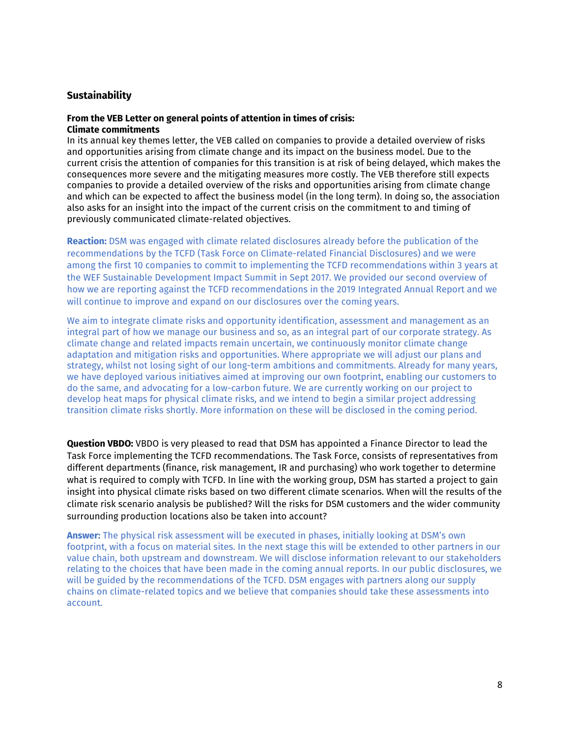## **Sustainability**

#### **From the VEB Letter on general points of attention in times of crisis: Climate commitments**

In its annual key themes letter, the VEB called on companies to provide a detailed overview of risks and opportunities arising from climate change and its impact on the business model. Due to the current crisis the attention of companies for this transition is at risk of being delayed, which makes the consequences more severe and the mitigating measures more costly. The VEB therefore still expects companies to provide a detailed overview of the risks and opportunities arising from climate change and which can be expected to affect the business model (in the long term). In doing so, the association also asks for an insight into the impact of the current crisis on the commitment to and timing of previously communicated climate-related objectives.

**Reaction:** DSM was engaged with climate related disclosures already before the publication of the recommendations by the TCFD (Task Force on Climate-related Financial Disclosures) and we were among the first 10 companies to commit to implementing the TCFD recommendations within 3 years at the WEF Sustainable Development Impact Summit in Sept 2017. We provided our second overview of how we are reporting against the TCFD recommendations in the 2019 Integrated Annual Report and we will continue to improve and expand on our disclosures over the coming years.

We aim to integrate climate risks and opportunity identification, assessment and management as an integral part of how we manage our business and so, as an integral part of our corporate strategy. As climate change and related impacts remain uncertain, we continuously monitor climate change adaptation and mitigation risks and opportunities. Where appropriate we will adjust our plans and strategy, whilst not losing sight of our long-term ambitions and commitments. Already for many years, we have deployed various initiatives aimed at improving our own footprint, enabling our customers to do the same, and advocating for a low-carbon future. We are currently working on our project to develop heat maps for physical climate risks, and we intend to begin a similar project addressing transition climate risks shortly. More information on these will be disclosed in the coming period.

**Question VBDO:** VBDO is very pleased to read that DSM has appointed a Finance Director to lead the Task Force implementing the TCFD recommendations. The Task Force, consists of representatives from different departments (finance, risk management, IR and purchasing) who work together to determine what is required to comply with TCFD. In line with the working group, DSM has started a project to gain insight into physical climate risks based on two different climate scenarios. When will the results of the climate risk scenario analysis be published? Will the risks for DSM customers and the wider community surrounding production locations also be taken into account?

**Answer:** The physical risk assessment will be executed in phases, initially looking at DSM's own footprint, with a focus on material sites. In the next stage this will be extended to other partners in our value chain, both upstream and downstream. We will disclose information relevant to our stakeholders relating to the choices that have been made in the coming annual reports. In our public disclosures, we will be guided by the recommendations of the TCFD. DSM engages with partners along our supply chains on climate-related topics and we believe that companies should take these assessments into account.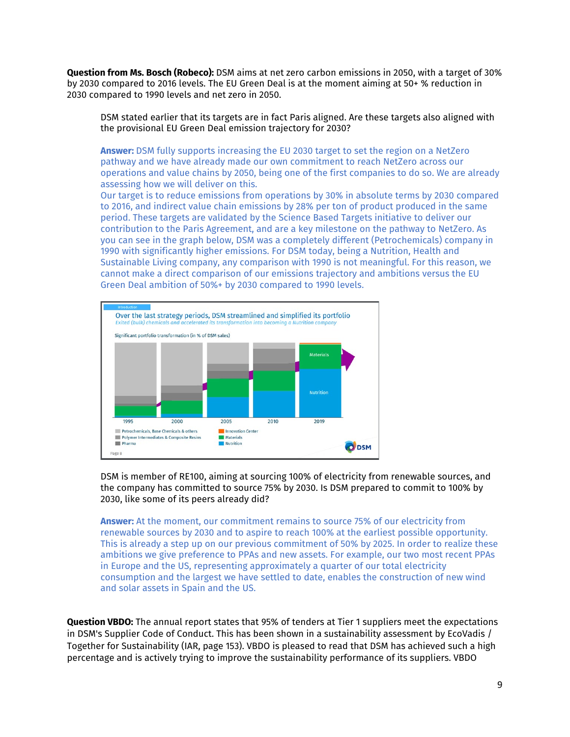**Question from Ms. Bosch (Robeco):** DSM aims at net zero carbon emissions in 2050, with a target of 30% by 2030 compared to 2016 levels. The EU Green Deal is at the moment aiming at 50+ % reduction in 2030 compared to 1990 levels and net zero in 2050.

DSM stated earlier that its targets are in fact Paris aligned. Are these targets also aligned with the provisional EU Green Deal emission trajectory for 2030?

**Answer:** DSM fully supports increasing the EU 2030 target to set the region on a NetZero pathway and we have already made our own commitment to reach NetZero across our operations and value chains by 2050, being one of the first companies to do so. We are already assessing how we will deliver on this.

Our target is to reduce emissions from operations by 30% in absolute terms by 2030 compared to 2016, and indirect value chain emissions by 28% per ton of product produced in the same period. These targets are validated by the Science Based Targets initiative to deliver our contribution to the Paris Agreement, and are a key milestone on the pathway to NetZero. As you can see in the graph below, DSM was a completely different (Petrochemicals) company in 1990 with significantly higher emissions. For DSM today, being a Nutrition, Health and Sustainable Living company, any comparison with 1990 is not meaningful. For this reason, we cannot make a direct comparison of our emissions trajectory and ambitions versus the EU Green Deal ambition of 50%+ by 2030 compared to 1990 levels.



DSM is member of RE100, aiming at sourcing 100% of electricity from renewable sources, and the company has committed to source 75% by 2030. Is DSM prepared to commit to 100% by 2030, like some of its peers already did?

**Answer:** At the moment, our commitment remains to source 75% of our electricity from renewable sources by 2030 and to aspire to reach 100% at the earliest possible opportunity. This is already a step up on our previous commitment of 50% by 2025. In order to realize these ambitions we give preference to PPAs and new assets. For example, our two most recent PPAs in Europe and the US, representing approximately a quarter of our total electricity consumption and the largest we have settled to date, enables the construction of new wind and solar assets in Spain and the US.

**Question VBDO:** The annual report states that 95% of tenders at Tier 1 suppliers meet the expectations in DSM's Supplier Code of Conduct. This has been shown in a sustainability assessment by EcoVadis / Together for Sustainability (IAR, page 153). VBDO is pleased to read that DSM has achieved such a high percentage and is actively trying to improve the sustainability performance of its suppliers. VBDO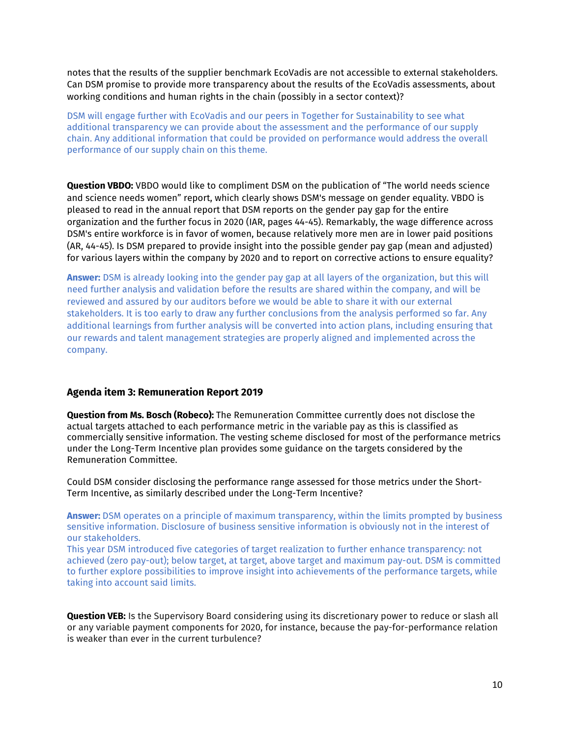notes that the results of the supplier benchmark EcoVadis are not accessible to external stakeholders. Can DSM promise to provide more transparency about the results of the EcoVadis assessments, about working conditions and human rights in the chain (possibly in a sector context)?

DSM will engage further with EcoVadis and our peers in Together for Sustainability to see what additional transparency we can provide about the assessment and the performance of our supply chain. Any additional information that could be provided on performance would address the overall performance of our supply chain on this theme.

**Question VBDO:** VBDO would like to compliment DSM on the publication of "The world needs science and science needs women" report, which clearly shows DSM's message on gender equality. VBDO is pleased to read in the annual report that DSM reports on the gender pay gap for the entire organization and the further focus in 2020 (IAR, pages 44-45). Remarkably, the wage difference across DSM's entire workforce is in favor of women, because relatively more men are in lower paid positions (AR, 44-45). Is DSM prepared to provide insight into the possible gender pay gap (mean and adjusted) for various layers within the company by 2020 and to report on corrective actions to ensure equality?

**Answer:** DSM is already looking into the gender pay gap at all layers of the organization, but this will need further analysis and validation before the results are shared within the company, and will be reviewed and assured by our auditors before we would be able to share it with our external stakeholders. It is too early to draw any further conclusions from the analysis performed so far. Any additional learnings from further analysis will be converted into action plans, including ensuring that our rewards and talent management strategies are properly aligned and implemented across the company.

## **Agenda item 3: Remuneration Report 2019**

**Question from Ms. Bosch (Robeco):** The Remuneration Committee currently does not disclose the actual targets attached to each performance metric in the variable pay as this is classified as commercially sensitive information. The vesting scheme disclosed for most of the performance metrics under the Long-Term Incentive plan provides some guidance on the targets considered by the Remuneration Committee.

Could DSM consider disclosing the performance range assessed for those metrics under the Short-Term Incentive, as similarly described under the Long-Term Incentive?

**Answer:** DSM operates on a principle of maximum transparency, within the limits prompted by business sensitive information. Disclosure of business sensitive information is obviously not in the interest of our stakeholders.

This year DSM introduced five categories of target realization to further enhance transparency: not achieved (zero pay-out); below target, at target, above target and maximum pay-out. DSM is committed to further explore possibilities to improve insight into achievements of the performance targets, while taking into account said limits.

**Question VEB:** Is the Supervisory Board considering using its discretionary power to reduce or slash all or any variable payment components for 2020, for instance, because the pay-for-performance relation is weaker than ever in the current turbulence?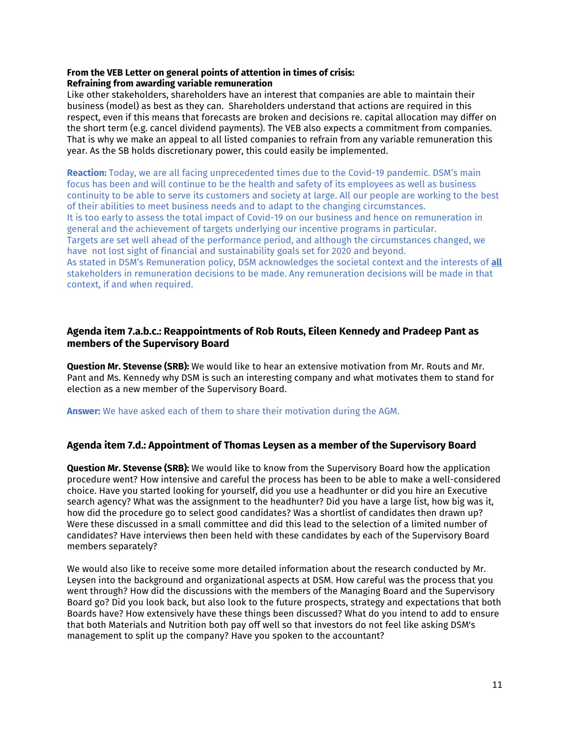## **From the VEB Letter on general points of attention in times of crisis: Refraining from awarding variable remuneration**

Like other stakeholders, shareholders have an interest that companies are able to maintain their business (model) as best as they can. Shareholders understand that actions are required in this respect, even if this means that forecasts are broken and decisions re. capital allocation may differ on the short term (e.g. cancel dividend payments). The VEB also expects a commitment from companies. That is why we make an appeal to all listed companies to refrain from any variable remuneration this year. As the SB holds discretionary power, this could easily be implemented.

**Reaction:** Today, we are all facing unprecedented times due to the Covid-19 pandemic. DSM's main focus has been and will continue to be the health and safety of its employees as well as business continuity to be able to serve its customers and society at large. All our people are working to the best of their abilities to meet business needs and to adapt to the changing circumstances. It is too early to assess the total impact of Covid-19 on our business and hence on remuneration in general and the achievement of targets underlying our incentive programs in particular. Targets are set well ahead of the performance period, and although the circumstances changed, we have not lost sight of financial and sustainability goals set for 2020 and beyond. As stated in DSM's Remuneration policy, DSM acknowledges the societal context and the interests of **all**  stakeholders in remuneration decisions to be made. Any remuneration decisions will be made in that context, if and when required.

# **Agenda item 7.a.b.c.: Reappointments of Rob Routs, Eileen Kennedy and Pradeep Pant as members of the Supervisory Board**

**Question Mr. Stevense (SRB):** We would like to hear an extensive motivation from Mr. Routs and Mr. Pant and Ms. Kennedy why DSM is such an interesting company and what motivates them to stand for election as a new member of the Supervisory Board.

**Answer:** We have asked each of them to share their motivation during the AGM.

# **Agenda item 7.d.: Appointment of Thomas Leysen as a member of the Supervisory Board**

**Question Mr. Stevense (SRB):** We would like to know from the Supervisory Board how the application procedure went? How intensive and careful the process has been to be able to make a well-considered choice. Have you started looking for yourself, did you use a headhunter or did you hire an Executive search agency? What was the assignment to the headhunter? Did you have a large list, how big was it, how did the procedure go to select good candidates? Was a shortlist of candidates then drawn up? Were these discussed in a small committee and did this lead to the selection of a limited number of candidates? Have interviews then been held with these candidates by each of the Supervisory Board members separately?

We would also like to receive some more detailed information about the research conducted by Mr. Leysen into the background and organizational aspects at DSM. How careful was the process that you went through? How did the discussions with the members of the Managing Board and the Supervisory Board go? Did you look back, but also look to the future prospects, strategy and expectations that both Boards have? How extensively have these things been discussed? What do you intend to add to ensure that both Materials and Nutrition both pay off well so that investors do not feel like asking DSM's management to split up the company? Have you spoken to the accountant?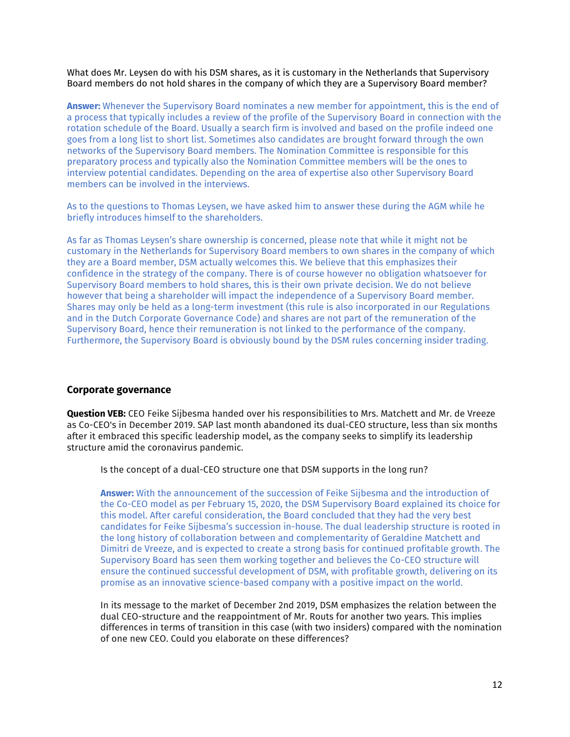What does Mr. Leysen do with his DSM shares, as it is customary in the Netherlands that Supervisory Board members do not hold shares in the company of which they are a Supervisory Board member?

**Answer:** Whenever the Supervisory Board nominates a new member for appointment, this is the end of a process that typically includes a review of the profile of the Supervisory Board in connection with the rotation schedule of the Board. Usually a search firm is involved and based on the profile indeed one goes from a long list to short list. Sometimes also candidates are brought forward through the own networks of the Supervisory Board members. The Nomination Committee is responsible for this preparatory process and typically also the Nomination Committee members will be the ones to interview potential candidates. Depending on the area of expertise also other Supervisory Board members can be involved in the interviews.

As to the questions to Thomas Leysen, we have asked him to answer these during the AGM while he briefly introduces himself to the shareholders.

As far as Thomas Leysen's share ownership is concerned, please note that while it might not be customary in the Netherlands for Supervisory Board members to own shares in the company of which they are a Board member, DSM actually welcomes this. We believe that this emphasizes their confidence in the strategy of the company. There is of course however no obligation whatsoever for Supervisory Board members to hold shares, this is their own private decision. We do not believe however that being a shareholder will impact the independence of a Supervisory Board member. Shares may only be held as a long-term investment (this rule is also incorporated in our Regulations and in the Dutch Corporate Governance Code) and shares are not part of the remuneration of the Supervisory Board, hence their remuneration is not linked to the performance of the company. Furthermore, the Supervisory Board is obviously bound by the DSM rules concerning insider trading.

## **Corporate governance**

**Question VEB:** CEO Feike Sijbesma handed over his responsibilities to Mrs. Matchett and Mr. de Vreeze as Co-CEO's in December 2019. SAP last month abandoned its dual-CEO structure, less than six months after it embraced this specific leadership model, as the company seeks to simplify its leadership structure amid the coronavirus pandemic.

Is the concept of a dual-CEO structure one that DSM supports in the long run?

**Answer:** With the announcement of the succession of Feike Sijbesma and the introduction of the Co-CEO model as per February 15, 2020, the DSM Supervisory Board explained its choice for this model. After careful consideration, the Board concluded that they had the very best candidates for Feike Sijbesma's succession in-house. The dual leadership structure is rooted in the long history of collaboration between and complementarity of Geraldine Matchett and Dimitri de Vreeze, and is expected to create a strong basis for continued profitable growth. The Supervisory Board has seen them working together and believes the Co-CEO structure will ensure the continued successful development of DSM, with profitable growth, delivering on its promise as an innovative science-based company with a positive impact on the world.

In its message to the market of December 2nd 2019, DSM emphasizes the relation between the dual CEO-structure and the reappointment of Mr. Routs for another two years. This implies differences in terms of transition in this case (with two insiders) compared with the nomination of one new CEO. Could you elaborate on these differences?